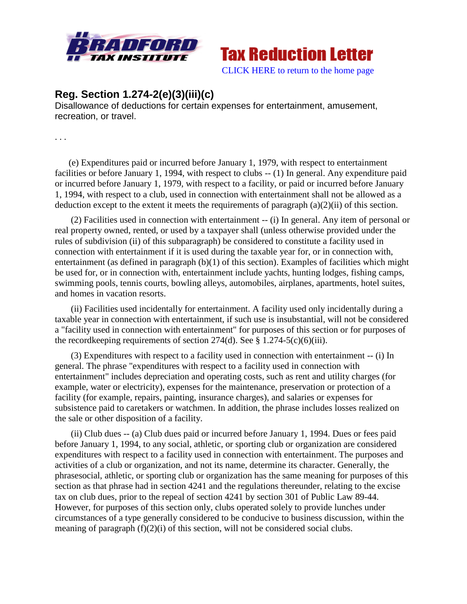

**Tax Reduction Letter** [CLICK HERE to return to the home page](http://bradfordtaxinstitute.com/index1.aspx)

**Reg. Section 1.274-2(e)(3)(iii)(c)**

Disallowance of deductions for certain expenses for entertainment, amusement, recreation, or travel.

. . .

(e) Expenditures paid or incurred before January 1, 1979, with respect to entertainment facilities or before January 1, 1994, with respect to clubs -- (1) In general. Any expenditure paid or incurred before January 1, 1979, with respect to a facility, or paid or incurred before January 1, 1994, with respect to a club, used in connection with entertainment shall not be allowed as a deduction except to the extent it meets the requirements of paragraph  $(a)(2)(ii)$  of this section.

(2) Facilities used in connection with entertainment -- (i) In general. Any item of personal or real property owned, rented, or used by a taxpayer shall (unless otherwise provided under the rules of subdivision (ii) of this subparagraph) be considered to constitute a facility used in connection with entertainment if it is used during the taxable year for, or in connection with, entertainment (as defined in paragraph (b)(1) of this section). Examples of facilities which might be used for, or in connection with, entertainment include yachts, hunting lodges, fishing camps, swimming pools, tennis courts, bowling alleys, automobiles, airplanes, apartments, hotel suites, and homes in vacation resorts.

(ii) Facilities used incidentally for entertainment. A facility used only incidentally during a taxable year in connection with entertainment, if such use is insubstantial, will not be considered a "facility used in connection with entertainment" for purposes of this section or for purposes of the recordkeeping requirements of section  $274(d)$ . See § 1.274-5(c)(6)(iii).

(3) Expenditures with respect to a facility used in connection with entertainment -- (i) In general. The phrase "expenditures with respect to a facility used in connection with entertainment" includes depreciation and operating costs, such as rent and utility charges (for example, water or electricity), expenses for the maintenance, preservation or protection of a facility (for example, repairs, painting, insurance charges), and salaries or expenses for subsistence paid to caretakers or watchmen. In addition, the phrase includes losses realized on the sale or other disposition of a facility.

(ii) Club dues -- (a) Club dues paid or incurred before January 1, 1994. Dues or fees paid before January 1, 1994, to any social, athletic, or sporting club or organization are considered expenditures with respect to a facility used in connection with entertainment. The purposes and activities of a club or organization, and not its name, determine its character. Generally, the phrasesocial, athletic, or sporting club or organization has the same meaning for purposes of this section as that phrase had in section 4241 and the regulations thereunder, relating to the excise tax on club dues, prior to the repeal of section 4241 by section 301 of Public Law 89-44. However, for purposes of this section only, clubs operated solely to provide lunches under circumstances of a type generally considered to be conducive to business discussion, within the meaning of paragraph (f)(2)(i) of this section, will not be considered social clubs.